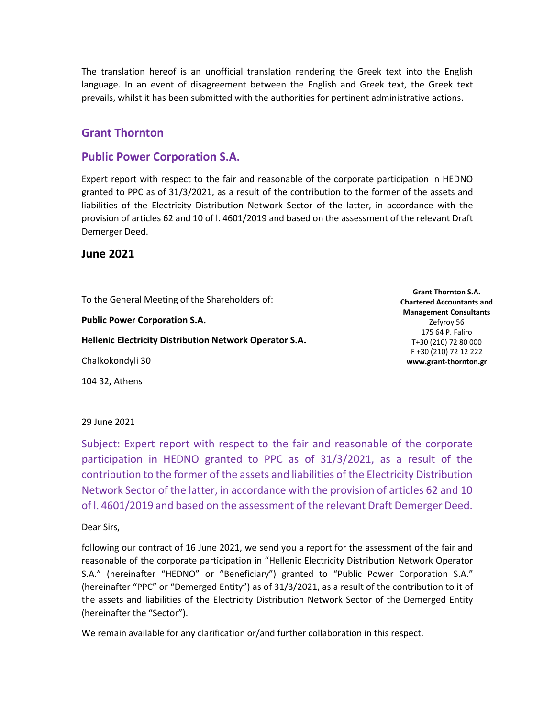The translation hereof is an unofficial translation rendering the Greek text into the English language. In an event of disagreement between the English and Greek text, the Greek text prevails, whilst it has been submitted with the authorities for pertinent administrative actions.

### **Grant Thornton**

### **Public Power Corporation S.A.**

Expert report with respect to the fair and reasonable of the corporate participation in HEDNO granted to PPC as of 31/3/2021, as a result of the contribution to the former of the assets and liabilities of the Electricity Distribution Network Sector of the latter, in accordance with the provision of articles 62 and 10 of l. 4601/2019 and based on the assessment of the relevant Draft Demerger Deed.

### **June 2021**

To the General Meeting of the Shareholders of:

**Public Power Corporation S.A.**

**Hellenic Electricity Distribution Network Operator S.A.**

Chalkokondyli 30

104 32, Athens

**Grant Thornton S.A. Chartered Accountants and Management Consultants** Zefyroy 56 175 64 P. Faliro T+30 (210) 72 80 000 F +30 (210) 72 12 222 **www.grant-thornton.gr**

#### 29 June 2021

Subject: Expert report with respect to the fair and reasonable of the corporate participation in HEDNO granted to PPC as of 31/3/2021, as a result of the contribution to the former of the assets and liabilities of the Electricity Distribution Network Sector of the latter, in accordance with the provision of articles 62 and 10 of l. 4601/2019 and based on the assessment of the relevant Draft Demerger Deed.

Dear Sirs,

following our contract of 16 June 2021, we send you a report for the assessment of the fair and reasonable of the corporate participation in "Hellenic Electricity Distribution Network Operator S.A." (hereinafter "HEDNO" or "Beneficiary") granted to "Public Power Corporation S.A." (hereinafter "PPC" or "Demerged Entity") as of 31/3/2021, as a result of the contribution to it of the assets and liabilities of the Electricity Distribution Network Sector of the Demerged Entity (hereinafter the "Sector").

We remain available for any clarification or/and further collaboration in this respect.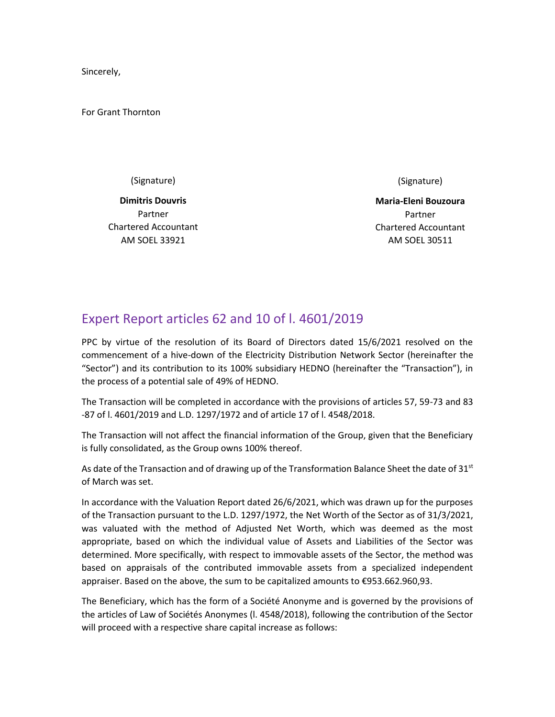Sincerely,

For Grant Thornton

(Signature)

**Dimitris Douvris** Partner Chartered Accountant AM SOEL 33921

(Signature)

**Maria-Eleni Bouzoura** Partner Chartered Accountant AM SOEL 30511

# Expert Report articles 62 and 10 of l. 4601/2019

PPC by virtue of the resolution of its Board of Directors dated 15/6/2021 resolved on the commencement of a hive-down of the Electricity Distribution Network Sector (hereinafter the "Sector") and its contribution to its 100% subsidiary HEDNO (hereinafter the "Transaction"), in the process of a potential sale of 49% of HEDNO.

The Transaction will be completed in accordance with the provisions of articles 57, 59-73 and 83 -87 of l. 4601/2019 and L.D. 1297/1972 and of article 17 of l. 4548/2018.

The Transaction will not affect the financial information of the Group, given that the Beneficiary is fully consolidated, as the Group owns 100% thereof.

As date of the Transaction and of drawing up of the Transformation Balance Sheet the date of  $31<sup>st</sup>$ of March was set.

In accordance with the Valuation Report dated 26/6/2021, which was drawn up for the purposes of the Transaction pursuant to the L.D. 1297/1972, the Net Worth of the Sector as of 31/3/2021, was valuated with the method of Adjusted Net Worth, which was deemed as the most appropriate, based on which the individual value of Assets and Liabilities of the Sector was determined. More specifically, with respect to immovable assets of the Sector, the method was based on appraisals of the contributed immovable assets from a specialized independent appraiser. Based on the above, the sum to be capitalized amounts to €953.662.960,93.

The Beneficiary, which has the form of a Société Anonyme and is governed by the provisions of the articles of Law of Sociétés Anonymes (l. 4548/2018), following the contribution of the Sector will proceed with a respective share capital increase as follows: